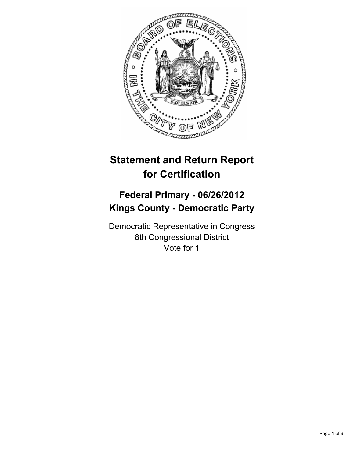

# **Statement and Return Report for Certification**

## **Federal Primary - 06/26/2012 Kings County - Democratic Party**

Democratic Representative in Congress 8th Congressional District Vote for 1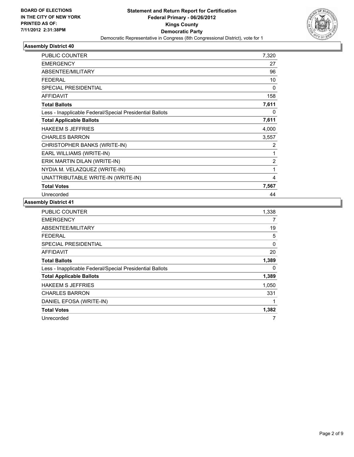

| PUBLIC COUNTER                                           | 7,320          |
|----------------------------------------------------------|----------------|
| <b>EMERGENCY</b>                                         | 27             |
| ABSENTEE/MILITARY                                        | 96             |
| <b>FEDERAL</b>                                           | 10             |
| <b>SPECIAL PRESIDENTIAL</b>                              | 0              |
| <b>AFFIDAVIT</b>                                         | 158            |
| <b>Total Ballots</b>                                     | 7,611          |
| Less - Inapplicable Federal/Special Presidential Ballots | 0              |
| <b>Total Applicable Ballots</b>                          | 7,611          |
| <b>HAKEEM S JEFFRIES</b>                                 | 4,000          |
| <b>CHARLES BARRON</b>                                    | 3,557          |
| CHRISTOPHER BANKS (WRITE-IN)                             | 2              |
| EARL WILLIAMS (WRITE-IN)                                 | 1              |
| ERIK MARTIN DILAN (WRITE-IN)                             | $\overline{2}$ |
| NYDIA M. VELAZQUEZ (WRITE-IN)                            | 1              |
| UNATTRIBUTABLE WRITE-IN (WRITE-IN)                       | 4              |
| <b>Total Votes</b>                                       | 7,567          |
| Unrecorded                                               | 44             |

| <b>PUBLIC COUNTER</b>                                    | 1,338 |
|----------------------------------------------------------|-------|
| <b>EMERGENCY</b>                                         | 7     |
| ABSENTEE/MILITARY                                        | 19    |
| FEDERAL                                                  | 5     |
| <b>SPECIAL PRESIDENTIAL</b>                              | 0     |
| AFFIDAVIT                                                | 20    |
| <b>Total Ballots</b>                                     | 1,389 |
| Less - Inapplicable Federal/Special Presidential Ballots | 0     |
| <b>Total Applicable Ballots</b>                          | 1,389 |
| <b>HAKEEM S JEFFRIES</b>                                 | 1,050 |
| <b>CHARLES BARRON</b>                                    | 331   |
| DANIEL EFOSA (WRITE-IN)                                  | 1     |
| <b>Total Votes</b>                                       | 1,382 |
| Unrecorded                                               | 7     |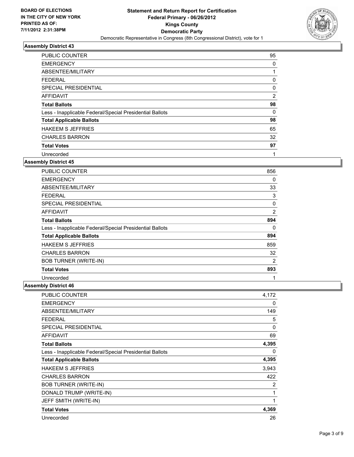

| <b>PUBLIC COUNTER</b>                                    | 95             |
|----------------------------------------------------------|----------------|
| <b>EMERGENCY</b>                                         | 0              |
| ABSENTEE/MILITARY                                        |                |
| <b>FEDERAL</b>                                           | 0              |
| SPECIAL PRESIDENTIAL                                     | $\Omega$       |
| <b>AFFIDAVIT</b>                                         | $\overline{2}$ |
| <b>Total Ballots</b>                                     | 98             |
| Less - Inapplicable Federal/Special Presidential Ballots | 0              |
| <b>Total Applicable Ballots</b>                          | 98             |
| <b>HAKEEM S JEFFRIES</b>                                 | 65             |
| <b>CHARLES BARRON</b>                                    | 32             |
| <b>Total Votes</b>                                       | 97             |
| Unrecorded                                               | 4              |

#### **Assembly District 45**

| <b>PUBLIC COUNTER</b>                                    | 856            |
|----------------------------------------------------------|----------------|
| <b>EMERGENCY</b>                                         | 0              |
| ABSENTEE/MILITARY                                        | 33             |
| FEDERAL                                                  | 3              |
| SPECIAL PRESIDENTIAL                                     | 0              |
| AFFIDAVIT                                                | $\overline{2}$ |
| <b>Total Ballots</b>                                     | 894            |
| Less - Inapplicable Federal/Special Presidential Ballots | 0              |
| <b>Total Applicable Ballots</b>                          | 894            |
| <b>HAKEEM S JEFFRIES</b>                                 | 859            |
| <b>CHARLES BARRON</b>                                    | 32             |
| <b>BOB TURNER (WRITE-IN)</b>                             | $\overline{2}$ |
| <b>Total Votes</b>                                       | 893            |
| Unrecorded                                               | 1              |

| PUBLIC COUNTER                                           | 4,172 |
|----------------------------------------------------------|-------|
| <b>EMERGENCY</b>                                         | 0     |
| ABSENTEE/MILITARY                                        | 149   |
| <b>FEDERAL</b>                                           | 5     |
| <b>SPECIAL PRESIDENTIAL</b>                              | 0     |
| <b>AFFIDAVIT</b>                                         | 69    |
| <b>Total Ballots</b>                                     | 4,395 |
| Less - Inapplicable Federal/Special Presidential Ballots | 0     |
| <b>Total Applicable Ballots</b>                          | 4,395 |
|                                                          |       |
| <b>HAKEEM S JEFFRIES</b>                                 | 3,943 |
| <b>CHARLES BARRON</b>                                    | 422   |
| <b>BOB TURNER (WRITE-IN)</b>                             | 2     |
| DONALD TRUMP (WRITE-IN)                                  | 1     |
| JEFF SMITH (WRITE-IN)                                    | 1     |
| <b>Total Votes</b>                                       | 4,369 |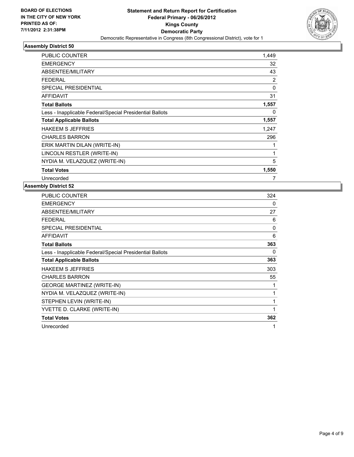

| <b>PUBLIC COUNTER</b>                                    | 1,449    |
|----------------------------------------------------------|----------|
| <b>EMERGENCY</b>                                         | 32       |
| ABSENTEE/MILITARY                                        | 43       |
| <b>FEDERAL</b>                                           | 2        |
| <b>SPECIAL PRESIDENTIAL</b>                              | $\Omega$ |
| <b>AFFIDAVIT</b>                                         | 31       |
| <b>Total Ballots</b>                                     | 1,557    |
| Less - Inapplicable Federal/Special Presidential Ballots | 0        |
| <b>Total Applicable Ballots</b>                          | 1,557    |
| <b>HAKEEM S JEFFRIES</b>                                 | 1.247    |
| <b>CHARLES BARRON</b>                                    | 296      |
| ERIK MARTIN DILAN (WRITE-IN)                             | 1        |
| LINCOLN RESTLER (WRITE-IN)                               | 1        |
| NYDIA M. VELAZQUEZ (WRITE-IN)                            | 5        |
| <b>Total Votes</b>                                       | 1,550    |
| Unrecorded                                               | 7        |

| PUBLIC COUNTER                                           | 324      |
|----------------------------------------------------------|----------|
| <b>EMERGENCY</b>                                         | 0        |
| ABSENTEE/MILITARY                                        | 27       |
| FEDERAL                                                  | 6        |
| <b>SPECIAL PRESIDENTIAL</b>                              | $\Omega$ |
| <b>AFFIDAVIT</b>                                         | 6        |
| <b>Total Ballots</b>                                     | 363      |
| Less - Inapplicable Federal/Special Presidential Ballots | 0        |
| <b>Total Applicable Ballots</b>                          | 363      |
| <b>HAKEEM S JEFFRIES</b>                                 | 303      |
| <b>CHARLES BARRON</b>                                    | 55       |
| <b>GEORGE MARTINEZ (WRITE-IN)</b>                        | 1        |
| NYDIA M. VELAZQUEZ (WRITE-IN)                            | 1        |
| STEPHEN LEVIN (WRITE-IN)                                 | 1        |
| YVETTE D. CLARKE (WRITE-IN)                              | 1        |
| <b>Total Votes</b>                                       | 362      |
| Unrecorded                                               | 1        |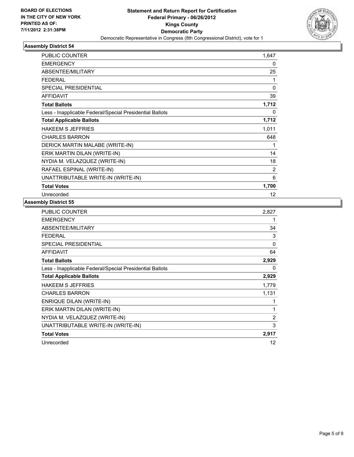

| PUBLIC COUNTER                                           | 1,647          |
|----------------------------------------------------------|----------------|
| <b>EMERGENCY</b>                                         | 0              |
| ABSENTEE/MILITARY                                        | 25             |
| <b>FEDERAL</b>                                           | 1              |
| <b>SPECIAL PRESIDENTIAL</b>                              | $\Omega$       |
| <b>AFFIDAVIT</b>                                         | 39             |
| <b>Total Ballots</b>                                     | 1,712          |
| Less - Inapplicable Federal/Special Presidential Ballots | 0              |
| <b>Total Applicable Ballots</b>                          | 1,712          |
| <b>HAKEEM S JEFFRIES</b>                                 | 1,011          |
| <b>CHARLES BARRON</b>                                    | 648            |
| DERICK MARTIN MALABE (WRITE-IN)                          | 1              |
| ERIK MARTIN DILAN (WRITE-IN)                             | 14             |
| NYDIA M. VELAZQUEZ (WRITE-IN)                            | 18             |
| RAFAEL ESPINAL (WRITE-IN)                                | $\overline{2}$ |
| UNATTRIBUTABLE WRITE-IN (WRITE-IN)                       | 6              |
| <b>Total Votes</b>                                       | 1,700          |
| Unrecorded                                               | 12             |

| PUBLIC COUNTER                                           | 2,827             |
|----------------------------------------------------------|-------------------|
| <b>EMERGENCY</b>                                         | 1                 |
| ABSENTEE/MILITARY                                        | 34                |
| <b>FEDERAL</b>                                           | 3                 |
| SPECIAL PRESIDENTIAL                                     | 0                 |
| <b>AFFIDAVIT</b>                                         | 64                |
| <b>Total Ballots</b>                                     | 2,929             |
| Less - Inapplicable Federal/Special Presidential Ballots | 0                 |
| <b>Total Applicable Ballots</b>                          | 2,929             |
| <b>HAKEEM S JEFFRIES</b>                                 | 1,779             |
| <b>CHARLES BARRON</b>                                    | 1,131             |
| <b>ENRIQUE DILAN (WRITE-IN)</b>                          | 1                 |
| ERIK MARTIN DILAN (WRITE-IN)                             | 1                 |
| NYDIA M. VELAZQUEZ (WRITE-IN)                            | 2                 |
| UNATTRIBUTABLE WRITE-IN (WRITE-IN)                       | 3                 |
| <b>Total Votes</b>                                       | 2,917             |
| Unrecorded                                               | $12 \overline{ }$ |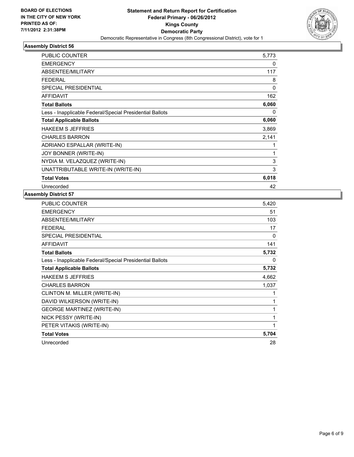

| <b>PUBLIC COUNTER</b>                                    | 5,773 |
|----------------------------------------------------------|-------|
| <b>EMERGENCY</b>                                         | 0     |
| ABSENTEE/MILITARY                                        | 117   |
| <b>FEDERAL</b>                                           | 8     |
| SPECIAL PRESIDENTIAL                                     | 0     |
| <b>AFFIDAVIT</b>                                         | 162   |
| <b>Total Ballots</b>                                     | 6,060 |
| Less - Inapplicable Federal/Special Presidential Ballots | 0     |
| <b>Total Applicable Ballots</b>                          | 6,060 |
| <b>HAKEEM S JEFFRIES</b>                                 | 3,869 |
| <b>CHARLES BARRON</b>                                    | 2,141 |
| ADRIANO ESPALLAR (WRITE-IN)                              | 1     |
| JOY BONNER (WRITE-IN)                                    | 1     |
| NYDIA M. VELAZQUEZ (WRITE-IN)                            | 3     |
| UNATTRIBUTABLE WRITE-IN (WRITE-IN)                       | 3     |
| <b>Total Votes</b>                                       | 6,018 |
| Unrecorded                                               | 42    |

| PUBLIC COUNTER                                           | 5,420 |
|----------------------------------------------------------|-------|
| <b>EMERGENCY</b>                                         | 51    |
| ABSENTEE/MILITARY                                        | 103   |
| <b>FEDERAL</b>                                           | 17    |
| SPECIAL PRESIDENTIAL                                     | 0     |
| <b>AFFIDAVIT</b>                                         | 141   |
| <b>Total Ballots</b>                                     | 5,732 |
| Less - Inapplicable Federal/Special Presidential Ballots | 0     |
| <b>Total Applicable Ballots</b>                          | 5,732 |
| <b>HAKEEM S JEFFRIES</b>                                 | 4,662 |
| <b>CHARLES BARRON</b>                                    | 1,037 |
| CLINTON M. MILLER (WRITE-IN)                             | 1     |
| DAVID WILKERSON (WRITE-IN)                               | 1     |
| <b>GEORGE MARTINEZ (WRITE-IN)</b>                        | 1     |
| NICK PESSY (WRITE-IN)                                    | 1     |
| PETER VITAKIS (WRITE-IN)                                 | 1     |
| <b>Total Votes</b>                                       | 5,704 |
| Unrecorded                                               | 28    |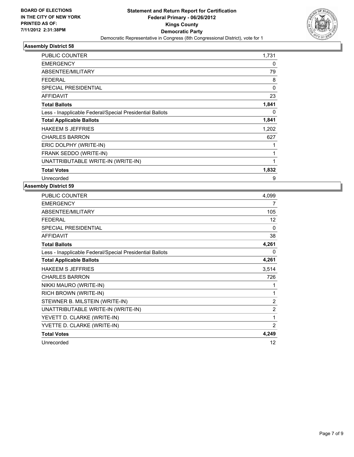

| <b>PUBLIC COUNTER</b>                                    | 1,731    |
|----------------------------------------------------------|----------|
| <b>EMERGENCY</b>                                         | 0        |
| ABSENTEE/MILITARY                                        | 79       |
| <b>FEDERAL</b>                                           | 8        |
| <b>SPECIAL PRESIDENTIAL</b>                              | 0        |
| <b>AFFIDAVIT</b>                                         | 23       |
| <b>Total Ballots</b>                                     | 1,841    |
| Less - Inapplicable Federal/Special Presidential Ballots | $\Omega$ |
| <b>Total Applicable Ballots</b>                          | 1,841    |
| <b>HAKEEM S JEFFRIES</b>                                 | 1,202    |
| <b>CHARLES BARRON</b>                                    | 627      |
| ERIC DOLPHY (WRITE-IN)                                   |          |
| FRANK SEDDO (WRITE-IN)                                   | 1        |
| UNATTRIBUTABLE WRITE-IN (WRITE-IN)                       | 1        |
| <b>Total Votes</b>                                       | 1,832    |
| Unrecorded                                               | 9        |

| <b>PUBLIC COUNTER</b>                                    | 4,099 |
|----------------------------------------------------------|-------|
| <b>EMERGENCY</b>                                         | 7     |
| <b>ABSENTEE/MILITARY</b>                                 | 105   |
| <b>FEDERAL</b>                                           | 12    |
| SPECIAL PRESIDENTIAL                                     | 0     |
| <b>AFFIDAVIT</b>                                         | 38    |
| <b>Total Ballots</b>                                     | 4,261 |
| Less - Inapplicable Federal/Special Presidential Ballots | 0     |
| <b>Total Applicable Ballots</b>                          | 4,261 |
| <b>HAKEEM S JEFFRIES</b>                                 | 3,514 |
| <b>CHARLES BARRON</b>                                    | 726   |
| NIKKI MAURO (WRITE-IN)                                   | 1     |
| RICH BROWN (WRITE-IN)                                    | 1     |
| STEWNER B. MILSTEIN (WRITE-IN)                           | 2     |
| UNATTRIBUTABLE WRITE-IN (WRITE-IN)                       | 2     |
| YEVETT D. CLARKE (WRITE-IN)                              | 1     |
| YVETTE D. CLARKE (WRITE-IN)                              | 2     |
| <b>Total Votes</b>                                       | 4,249 |
| Unrecorded                                               | 12    |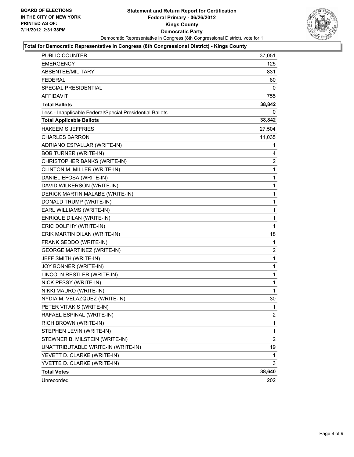

#### **Total for Democratic Representative in Congress (8th Congressional District) - Kings County**

| PUBLIC COUNTER                                           | 37,051         |
|----------------------------------------------------------|----------------|
| <b>EMERGENCY</b>                                         | 125            |
| ABSENTEE/MILITARY                                        | 831            |
| <b>FEDERAL</b>                                           | 80             |
| SPECIAL PRESIDENTIAL                                     | 0              |
| <b>AFFIDAVIT</b>                                         | 755            |
| <b>Total Ballots</b>                                     | 38,842         |
| Less - Inapplicable Federal/Special Presidential Ballots | 0              |
| <b>Total Applicable Ballots</b>                          | 38,842         |
| <b>HAKEEM S JEFFRIES</b>                                 | 27,504         |
| <b>CHARLES BARRON</b>                                    | 11,035         |
| ADRIANO ESPALLAR (WRITE-IN)                              | 1              |
| <b>BOB TURNER (WRITE-IN)</b>                             | 4              |
| CHRISTOPHER BANKS (WRITE-IN)                             | $\overline{c}$ |
| CLINTON M. MILLER (WRITE-IN)                             | 1              |
| DANIEL EFOSA (WRITE-IN)                                  | $\mathbf{1}$   |
| DAVID WILKERSON (WRITE-IN)                               | 1              |
| DERICK MARTIN MALABE (WRITE-IN)                          | 1              |
| DONALD TRUMP (WRITE-IN)                                  | $\mathbf{1}$   |
| EARL WILLIAMS (WRITE-IN)                                 | $\mathbf{1}$   |
| <b>ENRIQUE DILAN (WRITE-IN)</b>                          | 1              |
| ERIC DOLPHY (WRITE-IN)                                   | 1              |
| ERIK MARTIN DILAN (WRITE-IN)                             | 18             |
| FRANK SEDDO (WRITE-IN)                                   | 1              |
| <b>GEORGE MARTINEZ (WRITE-IN)</b>                        | 2              |
| JEFF SMITH (WRITE-IN)                                    | $\mathbf{1}$   |
| JOY BONNER (WRITE-IN)                                    | 1              |
| LINCOLN RESTLER (WRITE-IN)                               | $\mathbf{1}$   |
| NICK PESSY (WRITE-IN)                                    | $\mathbf{1}$   |
| NIKKI MAURO (WRITE-IN)                                   | 1              |
| NYDIA M. VELAZQUEZ (WRITE-IN)                            | 30             |
| PETER VITAKIS (WRITE-IN)                                 | $\mathbf{1}$   |
| RAFAEL ESPINAL (WRITE-IN)                                | 2              |
| RICH BROWN (WRITE-IN)                                    | 1              |
| STEPHEN LEVIN (WRITE-IN)                                 | $\mathbf{1}$   |
| STEWNER B. MILSTEIN (WRITE-IN)                           | $\overline{2}$ |
| UNATTRIBUTABLE WRITE-IN (WRITE-IN)                       | 19             |
| YEVETT D. CLARKE (WRITE-IN)                              | 1              |
| YVETTE D. CLARKE (WRITE-IN)                              | 3              |
| <b>Total Votes</b>                                       | 38,640         |
| Unrecorded                                               | 202            |